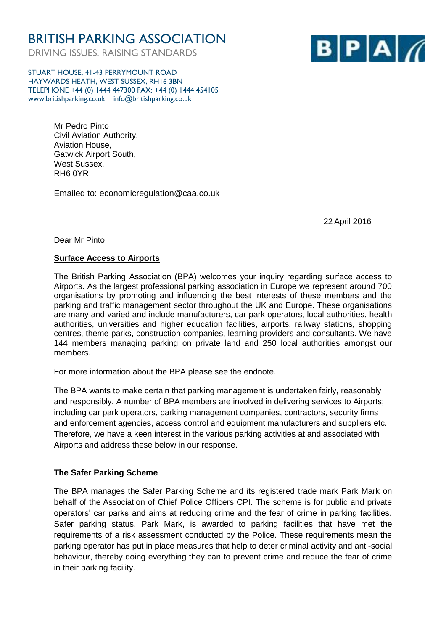# BRITISH PARKING ASSOCIATION

DRIVING ISSUES, RAISING STANDARDS

 $B|P|A|$ 

STUART HOUSE, 41-43 PERRYMOUNT ROAD HAYWARDS HEATH, WEST SUSSEX, RH16 3BN TELEPHONE +44 (0) 1444 447300 FAX: +44 (0) 1444 454105 [www.britishparking.co.uk](http://www.britishparking.co.uk/) [info@britishparking.co.uk](mailto:info@britishparking.co.uk)

> Mr Pedro Pinto Civil Aviation Authority, Aviation House, Gatwick Airport South, West Sussex, RH6 0YR

Emailed to: economicregulation@caa.co.uk

22 April 2016

Dear Mr Pinto

# **Surface Access to Airports**

The British Parking Association (BPA) welcomes your inquiry regarding surface access to Airports. As the largest professional parking association in Europe we represent around 700 organisations by promoting and influencing the best interests of these members and the parking and traffic management sector throughout the UK and Europe. These organisations are many and varied and include manufacturers, car park operators, local authorities, health authorities, universities and higher education facilities, airports, railway stations, shopping centres, theme parks, construction companies, learning providers and consultants. We have 144 members managing parking on private land and 250 local authorities amongst our members.

For more information about the BPA please see the endnote.

The BPA wants to make certain that parking management is undertaken fairly, reasonably and responsibly. A number of BPA members are involved in delivering services to Airports; including car park operators, parking management companies, contractors, security firms and enforcement agencies, access control and equipment manufacturers and suppliers etc. Therefore, we have a keen interest in the various parking activities at and associated with Airports and address these below in our response.

## **The Safer Parking Scheme**

The BPA manages the Safer Parking Scheme and its registered trade mark Park Mark on behalf of the Association of Chief Police Officers CPI. The scheme is for public and private operators' car parks and aims at reducing crime and the fear of crime in parking facilities. Safer parking status, Park Mark, is awarded to parking facilities that have met the requirements of a risk assessment conducted by the Police. These requirements mean the parking operator has put in place measures that help to deter criminal activity and anti-social behaviour, thereby doing everything they can to prevent crime and reduce the fear of crime in their parking facility.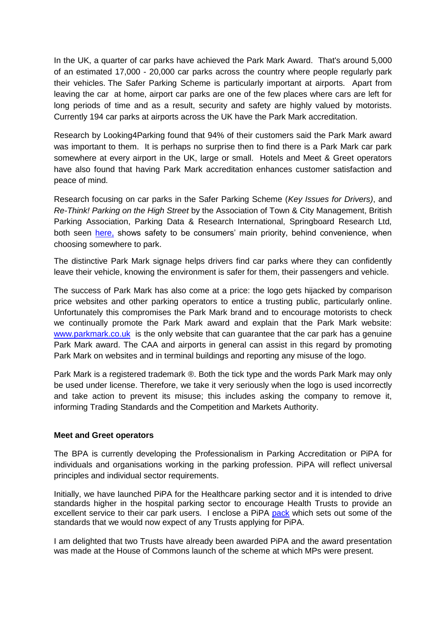In the UK, a quarter of car parks have achieved the Park Mark Award. That's around 5,000 of an estimated 17,000 - 20,000 car parks across the country where people regularly park their vehicles. The Safer Parking Scheme is particularly important at airports. Apart from leaving the car at home, airport car parks are one of the few places where cars are left for long periods of time and as a result, security and safety are highly valued by motorists. Currently 194 car parks at airports across the UK have the Park Mark accreditation.

Research by Looking4Parking found that 94% of their customers said the Park Mark award was important to them. It is perhaps no surprise then to find there is a Park Mark car park somewhere at every airport in the UK, large or small. Hotels and Meet & Greet operators have also found that having Park Mark accreditation enhances customer satisfaction and peace of mind.

Research focusing on car parks in the Safer Parking Scheme (*Key Issues for Drivers)*, and *Re-Think! Parking on the High Street* by the Association of Town & City Management, British Parking Association, Parking Data & Research International, Springboard Research Ltd*,* both seen [here,](http://www.knowyourparkingrights.org/News/parking-research-and-knowledge) shows safety to be consumers' main priority, behind convenience, when choosing somewhere to park.

The distinctive Park Mark signage helps drivers find car parks where they can confidently leave their vehicle, knowing the environment is safer for them, their passengers and vehicle.

The success of Park Mark has also come at a price: the logo gets hijacked by comparison price websites and other parking operators to entice a trusting public, particularly online. Unfortunately this compromises the Park Mark brand and to encourage motorists to check we continually promote the Park Mark award and explain that the Park Mark website: [www.parkmark.co.uk](http://www.parkmark.co.uk/) is the only website that can guarantee that the car park has a genuine Park Mark award. The CAA and airports in general can assist in this regard by promoting Park Mark on websites and in terminal buildings and reporting any misuse of the logo.

Park Mark is a registered trademark ®. Both the tick type and the words Park Mark may only be used under license. Therefore, we take it very seriously when the logo is used incorrectly and take action to prevent its misuse; this includes asking the company to remove it, informing Trading Standards and the Competition and Markets Authority.

## **Meet and Greet operators**

The BPA is currently developing the Professionalism in Parking Accreditation or PiPA for individuals and organisations working in the parking profession. PiPA will reflect universal principles and individual sector requirements.

Initially, we have launched PiPA for the Healthcare parking sector and it is intended to drive standards higher in the hospital parking sector to encourage Health Trusts to provide an excellent service to their car park users. I enclose a PiPA [pack](http://www.britishparking.co.uk/write/Documents/PiPA/The_healthcare_PiPA_guide.pdf) which sets out some of the standards that we would now expect of any Trusts applying for PiPA.

I am delighted that two Trusts have already been awarded PiPA and the award presentation was made at the House of Commons launch of the scheme at which MPs were present.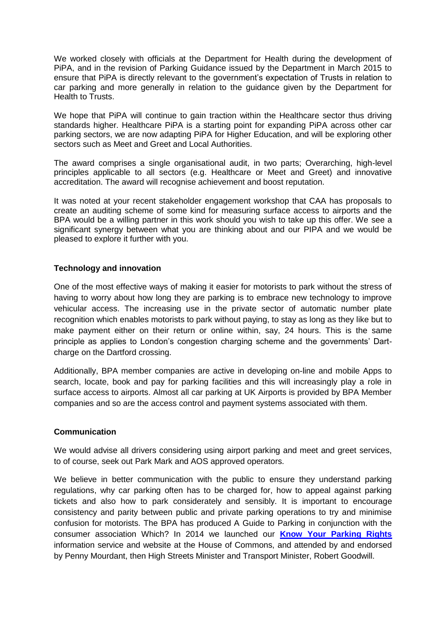We worked closely with officials at the Department for Health during the development of PiPA, and in the revision of Parking Guidance issued by the Department in March 2015 to ensure that PiPA is directly relevant to the government's expectation of Trusts in relation to car parking and more generally in relation to the guidance given by the Department for Health to Trusts.

We hope that PiPA will continue to gain traction within the Healthcare sector thus driving standards higher. Healthcare PiPA is a starting point for expanding PiPA across other car parking sectors, we are now adapting PiPA for Higher Education, and will be exploring other sectors such as Meet and Greet and Local Authorities.

The award comprises a single organisational audit, in two parts; Overarching, high-level principles applicable to all sectors (e.g. Healthcare or Meet and Greet) and innovative accreditation. The award will recognise achievement and boost reputation.

It was noted at your recent stakeholder engagement workshop that CAA has proposals to create an auditing scheme of some kind for measuring surface access to airports and the BPA would be a willing partner in this work should you wish to take up this offer. We see a significant synergy between what you are thinking about and our PIPA and we would be pleased to explore it further with you.

## **Technology and innovation**

One of the most effective ways of making it easier for motorists to park without the stress of having to worry about how long they are parking is to embrace new technology to improve vehicular access. The increasing use in the private sector of automatic number plate recognition which enables motorists to park without paying, to stay as long as they like but to make payment either on their return or online within, say, 24 hours. This is the same principle as applies to London's congestion charging scheme and the governments' Dartcharge on the Dartford crossing.

Additionally, BPA member companies are active in developing on-line and mobile Apps to search, locate, book and pay for parking facilities and this will increasingly play a role in surface access to airports. Almost all car parking at UK Airports is provided by BPA Member companies and so are the access control and payment systems associated with them.

## **Communication**

We would advise all drivers considering using airport parking and meet and greet services, to of course, seek out Park Mark and AOS approved operators.

We believe in better communication with the public to ensure they understand parking regulations, why car parking often has to be charged for, how to appeal against parking tickets and also how to park considerately and sensibly. It is important to encourage consistency and parity between public and private parking operations to try and minimise confusion for motorists. The BPA has produced A Guide to Parking in conjunction with the consumer association Which? In 2014 we launched our **[Know Your Parking Rights](http://www.knowyourparkingrights.org/)** information service and website at the House of Commons, and attended by and endorsed by Penny Mourdant, then High Streets Minister and Transport Minister, Robert Goodwill.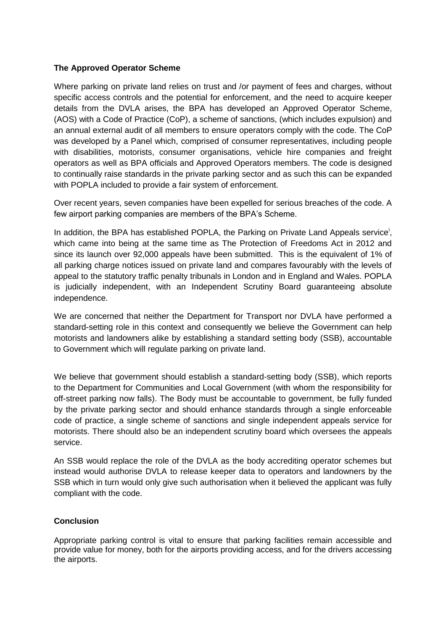# **The Approved Operator Scheme**

Where parking on private land relies on trust and /or payment of fees and charges, without specific access controls and the potential for enforcement, and the need to acquire keeper details from the DVLA arises, the BPA has developed an Approved Operator Scheme, (AOS) with a Code of Practice (CoP), a scheme of sanctions, (which includes expulsion) and an annual external audit of all members to ensure operators comply with the code. The CoP was developed by a Panel which, comprised of consumer representatives, including people with disabilities, motorists, consumer organisations, vehicle hire companies and freight operators as well as BPA officials and Approved Operators members. The code is designed to continually raise standards in the private parking sector and as such this can be expanded with POPLA included to provide a fair system of enforcement.

Over recent years, seven companies have been expelled for serious breaches of the code. A few airport parking companies are members of the BPA's Scheme.

In addition, the BPA has established POPLA, the Parking on Private Land Appeals service<sup>i</sup>, which came into being at the same time as The Protection of Freedoms Act in 2012 and since its launch over 92,000 appeals have been submitted. This is the equivalent of 1% of all parking charge notices issued on private land and compares favourably with the levels of appeal to the statutory traffic penalty tribunals in London and in England and Wales. POPLA is judicially independent, with an Independent Scrutiny Board guaranteeing absolute independence.

We are concerned that neither the Department for Transport nor DVLA have performed a standard-setting role in this context and consequently we believe the Government can help motorists and landowners alike by establishing a standard setting body (SSB), accountable to Government which will regulate parking on private land.

We believe that government should establish a standard-setting body (SSB), which reports to the Department for Communities and Local Government (with whom the responsibility for off-street parking now falls). The Body must be accountable to government, be fully funded by the private parking sector and should enhance standards through a single enforceable code of practice, a single scheme of sanctions and single independent appeals service for motorists. There should also be an independent scrutiny board which oversees the appeals service.

An SSB would replace the role of the DVLA as the body accrediting operator schemes but instead would authorise DVLA to release keeper data to operators and landowners by the SSB which in turn would only give such authorisation when it believed the applicant was fully compliant with the code.

## **Conclusion**

Appropriate parking control is vital to ensure that parking facilities remain accessible and provide value for money, both for the airports providing access, and for the drivers accessing the airports.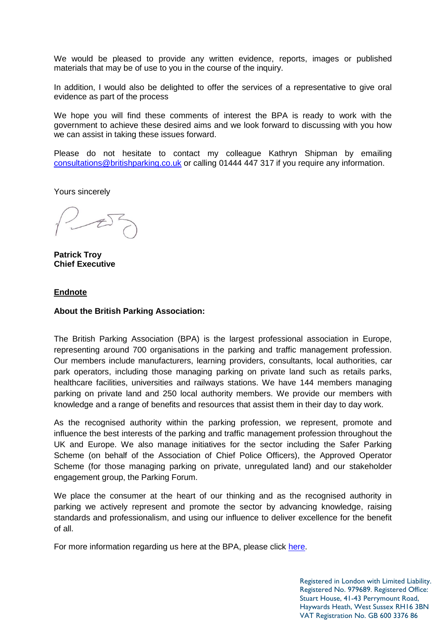We would be pleased to provide any written evidence, reports, images or published materials that may be of use to you in the course of the inquiry.

In addition, I would also be delighted to offer the services of a representative to give oral evidence as part of the process

We hope you will find these comments of interest the BPA is ready to work with the government to achieve these desired aims and we look forward to discussing with you how we can assist in taking these issues forward.

Please do not hesitate to contact my colleague Kathryn Shipman by emailing [consultations@britishparking.co.uk](mailto:consultations@britishparking.co.uk) or calling 01444 447 317 if you require any information.

Yours sincerely

 $\mathcal{Z}$ 

**Patrick Troy Chief Executive**

#### **Endnote**

#### **About the British Parking Association:**

The British Parking Association (BPA) is the largest professional association in Europe, representing around 700 organisations in the parking and traffic management profession. Our members include manufacturers, learning providers, consultants, local authorities, car park operators, including those managing parking on private land such as retails parks, healthcare facilities, universities and railways stations. We have 144 members managing parking on private land and 250 local authority members. We provide our members with knowledge and a range of benefits and resources that assist them in their day to day work.

As the recognised authority within the parking profession, we represent, promote and influence the best interests of the parking and traffic management profession throughout the UK and Europe. We also manage initiatives for the sector including the Safer Parking Scheme (on behalf of the Association of Chief Police Officers), the Approved Operator Scheme (for those managing parking on private, unregulated land) and our stakeholder engagement group, the Parking Forum.

We place the consumer at the heart of our thinking and as the recognised authority in parking we actively represent and promote the sector by advancing knowledge, raising standards and professionalism, and using our influence to deliver excellence for the benefit of all.

For more information regarding us here at the BPA, please click [here.](http://www.britishparking.co.uk/)

Registered in London with Limited Liability. Registered No. 979689. Registered Office: Stuart House, 41-43 Perrymount Road, Haywards Heath, West Sussex RH16 3BN VAT Registration No. GB 600 3376 86